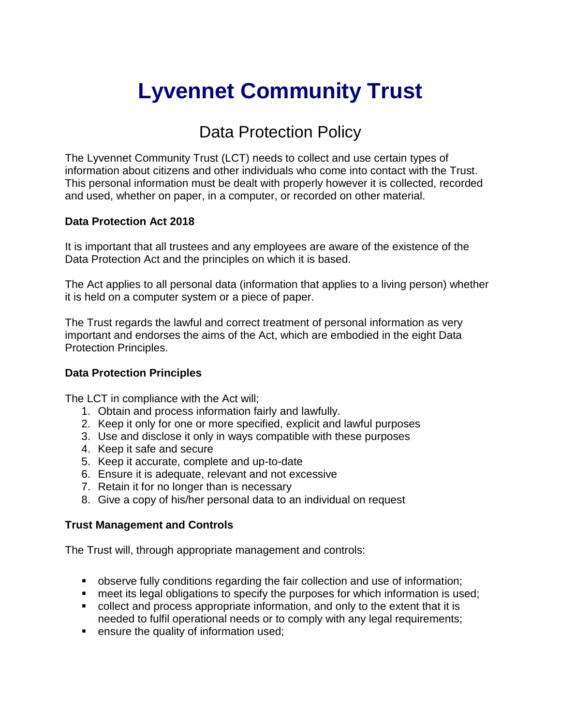# **Lyvennet Community Trust**

# Data Protection Policy

The Lyvennet Community Trust (LCT) needs to collect and use certain types of information about citizens and other individuals who come into contact with the Trust. This personal information must be dealt with properly however it is collected, recorded and used, whether on paper, in a computer, or recorded on other material.

#### **Data Protection Act 2018**

It is important that all trustees and any employees are aware of the existence of the Data Protection Act and the principles on which it is based.

The Act applies to all personal data (information that applies to a living person) whether it is held on a computer system or a piece of paper.

The Trust regards the lawful and correct treatment of personal information as very important and endorses the aims of the Act, which are embodied in the eight Data Protection Principles.

## **Data Protection Principles**

The LCT in compliance with the Act will;

- 1. Obtain and process information fairly and lawfully.
- 2. Keep it only for one or more specified, explicit and lawful purposes
- 3. Use and disclose it only in ways compatible with these purposes
- 4. Keep it safe and secure
- 5. Keep it accurate, complete and up-to-date
- 6. Ensure it is adequate, relevant and not excessive
- 7. Retain it for no longer than is necessary
- 8. Give a copy of his/her personal data to an individual on request

## **Trust Management and Controls**

The Trust will, through appropriate management and controls:

- observe fully conditions regarding the fair collection and use of information;
- meet its legal obligations to specify the purposes for which information is used;
- collect and process appropriate information, and only to the extent that it is needed to fulfil operational needs or to comply with any legal requirements;
- **EXECUTE:** ensure the quality of information used;